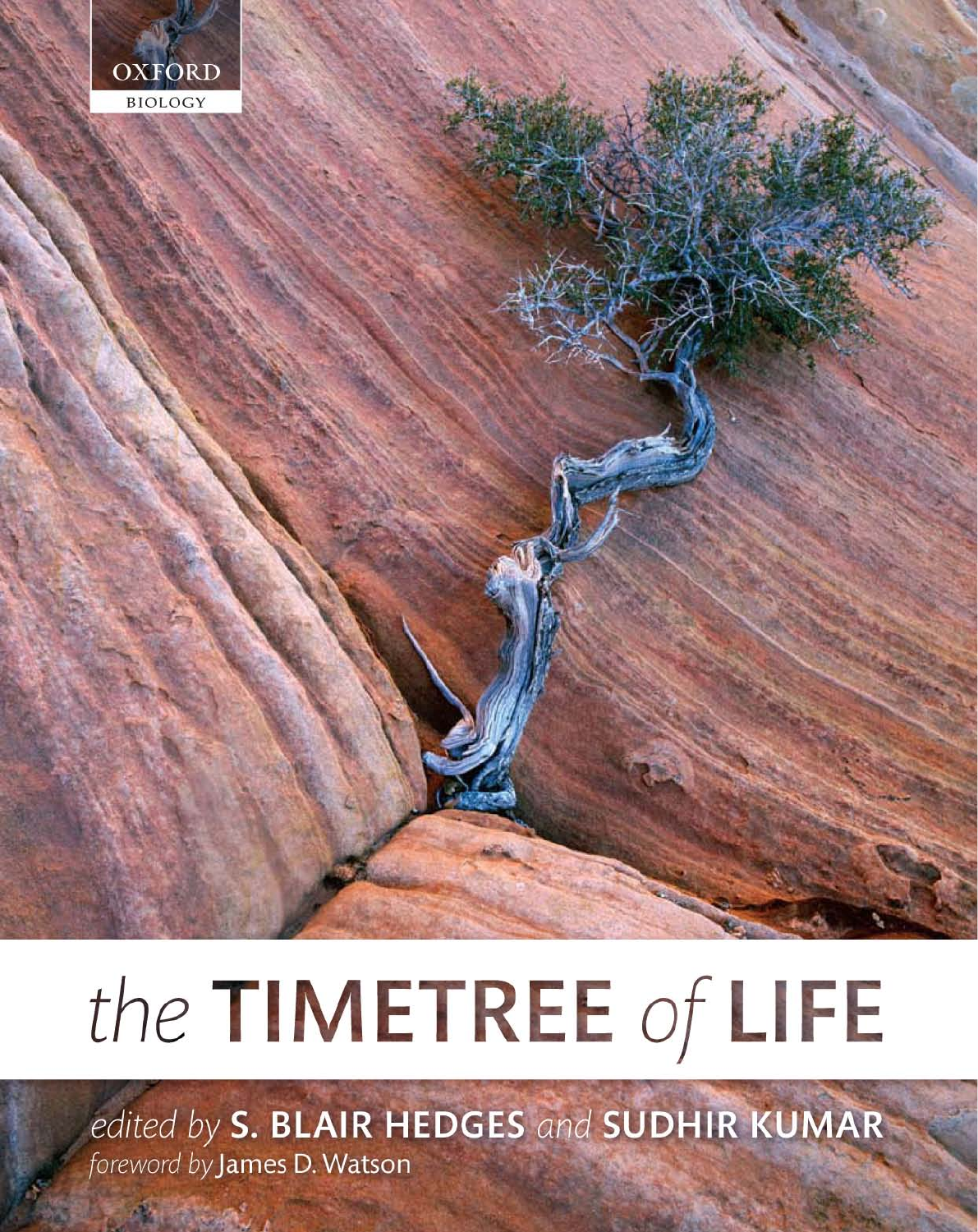

# the TIMETREE of LIFE

edited by S. BLAIR HEDGES and SUDHIR KUMAR foreword by James D. Watson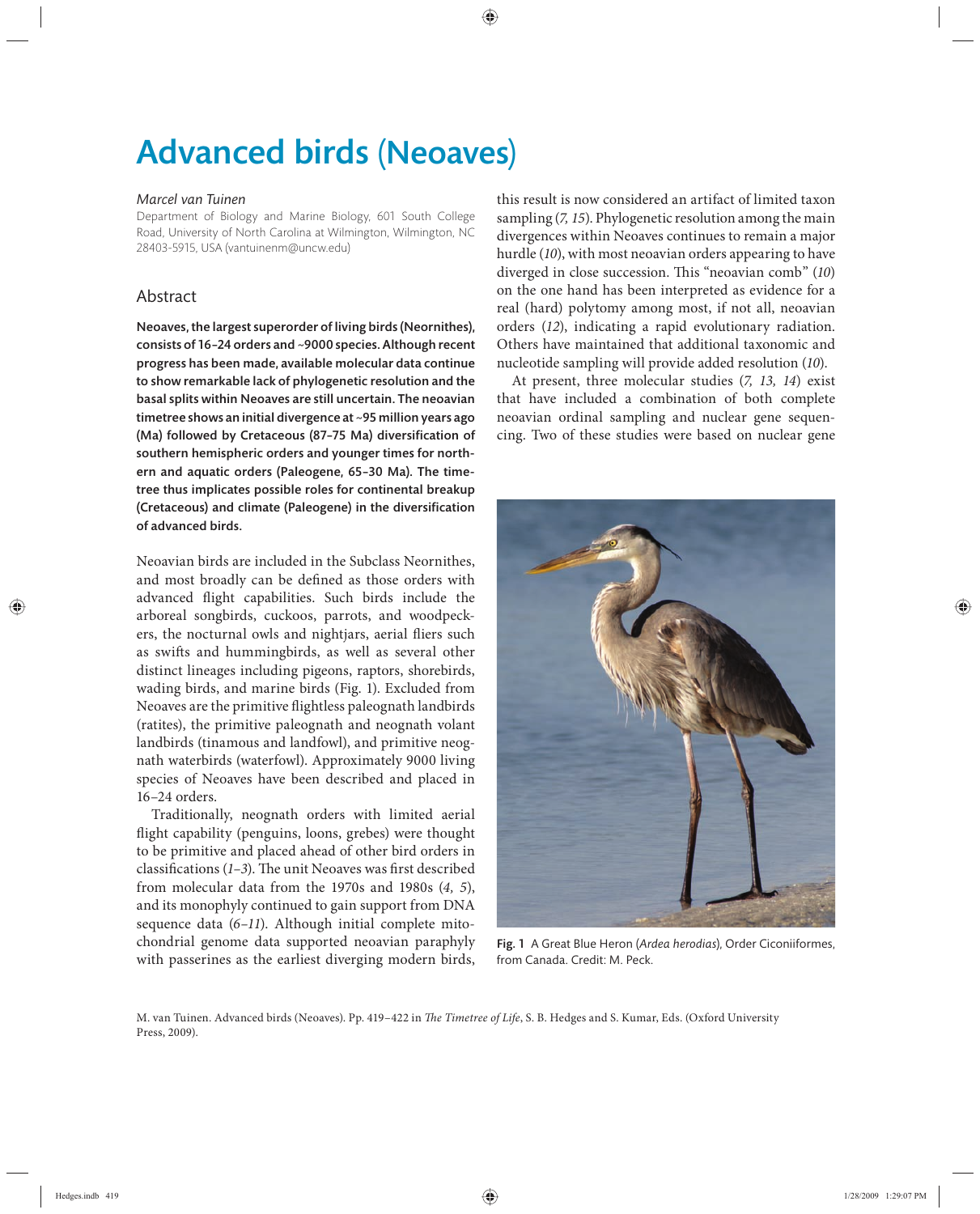# Advanced birds (Neoaves)

#### *Marcel van Tuinen*

Department of Biology and Marine Biology, 601 South College Road, University of North Carolina at Wilmington, Wilmington, NC 28403-5915, USA (vantuinenm@uncw.edu)

# Abstract

Neoaves, the largest superorder of living birds (Neornithes), consists of 16–24 orders and ~9000 species. Although recent progress has been made, available molecular data continue to show remarkable lack of phylogenetic resolution and the basal splits within Neoaves are still uncertain. The neoavian timetree shows an initial divergence at ~95 million years ago (Ma) followed by Cretaceous (87-75 Ma) diversification of southern hemispheric orders and younger times for northern and aquatic orders (Paleogene, 65-30 Ma). The timetree thus implicates possible roles for continental breakup (Cretaceous) and climate (Paleogene) in the diversification of advanced birds.

Neoavian birds are included in the Subclass Neornithes, and most broadly can be defined as those orders with advanced flight capabilities. Such birds include the arboreal songbirds, cuckoos, parrots, and woodpeckers, the nocturnal owls and nightjars, aerial fliers such as swifts and hummingbirds, as well as several other distinct lineages including pigeons, raptors, shorebirds, wading birds, and marine birds (Fig. 1). Excluded from Neoaves are the primitive flightless paleognath landbirds (ratites), the primitive paleognath and neognath volant landbirds (tinamous and landfowl), and primitive neognath waterbirds (waterfowl). Approximately 9000 living species of Neoaves have been described and placed in 16–24 orders.

Traditionally, neognath orders with limited aerial flight capability (penguins, loons, grebes) were thought to be primitive and placed ahead of other bird orders in classifications  $(1-3)$ . The unit Neoaves was first described from molecular data from the 1970s and 1980s (*4, 5*), and its monophyly continued to gain support from DNA sequence data (6–11). Although initial complete mitochondrial genome data supported neoavian paraphyly with passerines as the earliest diverging modern birds,

this result is now considered an artifact of limited taxon sampling (*7, 15*). Phylogenetic resolution among the main divergences within Neoaves continues to remain a major hurdle (*10*), with most neoavian orders appearing to have diverged in close succession. This "neoavian comb" (10) on the one hand has been interpreted as evidence for a real (hard) polytomy among most, if not all, neoavian orders (*12*), indicating a rapid evolutionary radiation. Others have maintained that additional taxonomic and nucleotide sampling will provide added resolution (*10*).

At present, three molecular studies (*7, 13, 14*) exist that have included a combination of both complete neoavian ordinal sampling and nuclear gene sequencing. Two of these studies were based on nuclear gene



Fig. 1 A Great Blue Heron (*Ardea herodias*), Order Ciconiiformes, from Canada. Credit: M. Peck.

M. van Tuinen. Advanced birds (Neoaves). Pp. 419-422 in *The Timetree of Life*, S. B. Hedges and S. Kumar, Eds. (Oxford University Press, 2009).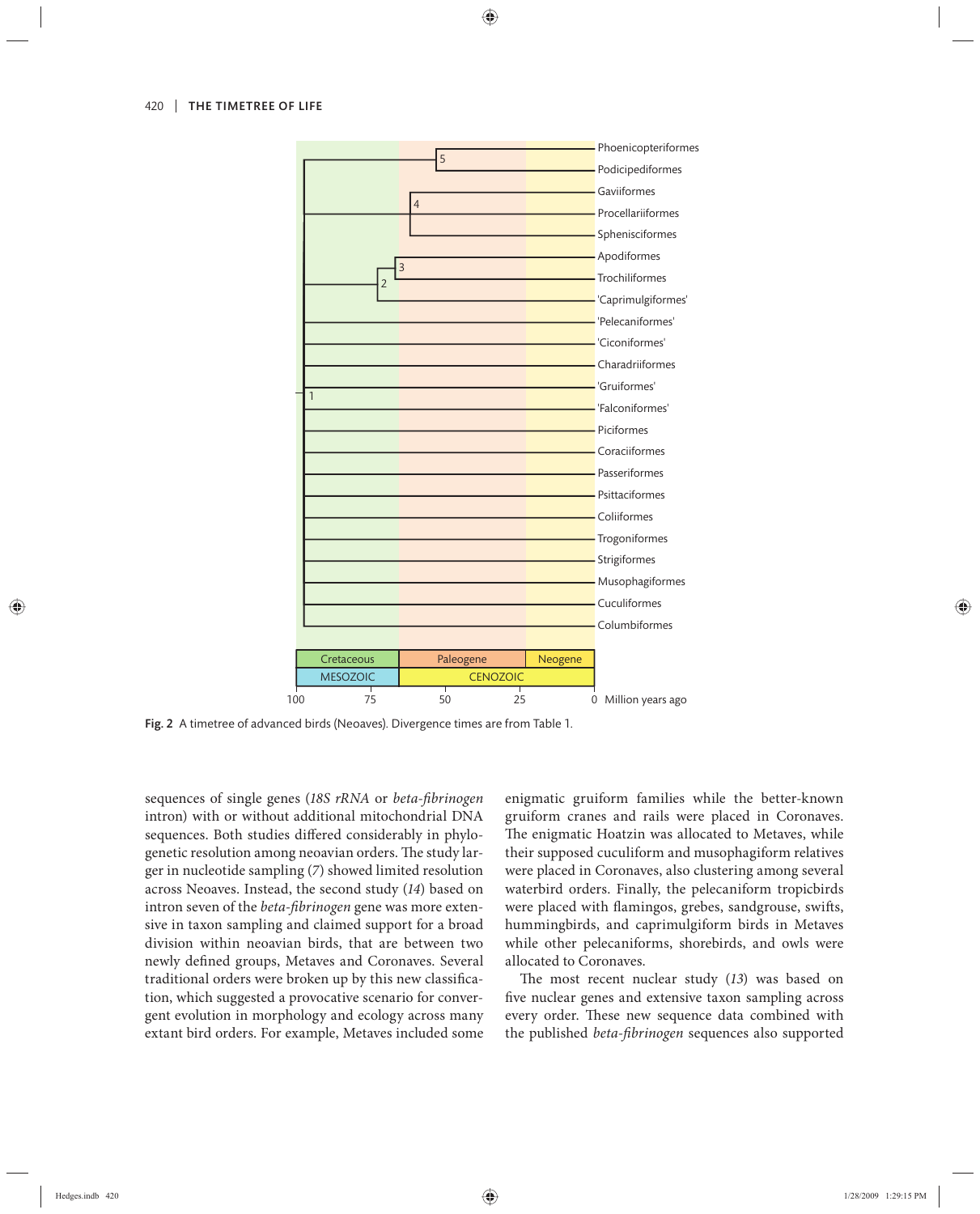

Fig. 2 A timetree of advanced birds (Neoaves). Divergence times are from Table 1.

sequences of single genes (*18S rRNA* or *beta-fibrinogen* intron) with or without additional mitochondrial DNA sequences. Both studies differed considerably in phylogenetic resolution among neoavian orders. The study larger in nucleotide sampling (*7*) showed limited resolution across Neoaves. Instead, the second study (*14*) based on intron seven of the *beta-fibrinogen* gene was more extensive in taxon sampling and claimed support for a broad division within neoavian birds, that are between two newly defined groups, Metaves and Coronaves. Several traditional orders were broken up by this new classification, which suggested a provocative scenario for convergent evolution in morphology and ecology across many extant bird orders. For example, Metaves included some enigmatic gruiform families while the better-known gruiform cranes and rails were placed in Coronaves. The enigmatic Hoatzin was allocated to Metaves, while their supposed cuculiform and musophagiform relatives were placed in Coronaves, also clustering among several waterbird orders. Finally, the pelecaniform tropicbirds were placed with flamingos, grebes, sandgrouse, swifts, hummingbirds, and caprimulgiform birds in Metaves while other pelecaniforms, shorebirds, and owls were allocated to Coronaves.

The most recent nuclear study (13) was based on five nuclear genes and extensive taxon sampling across every order. These new sequence data combined with the published *beta-fibrinogen* sequences also supported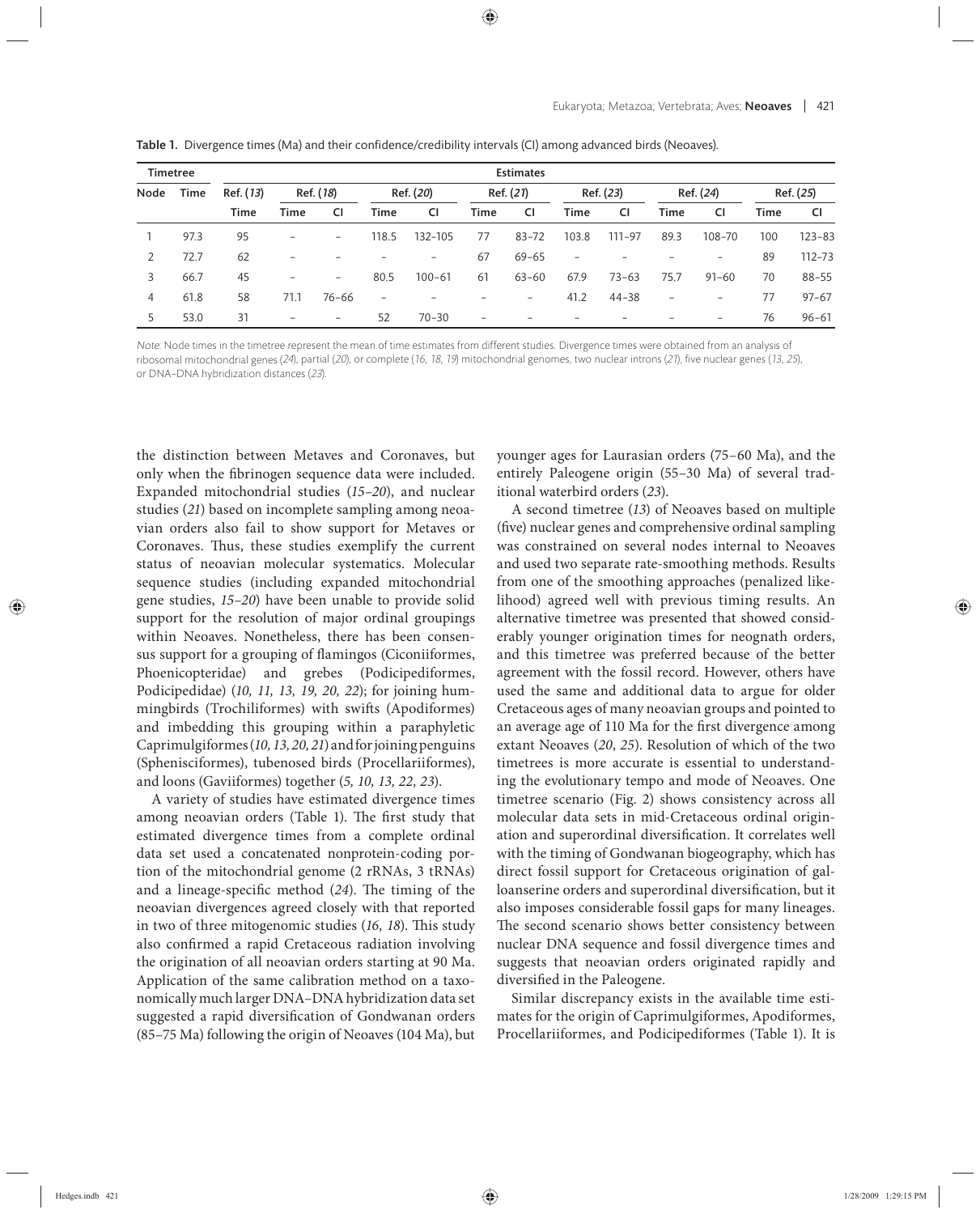| Timetree |      | <b>Estimates</b>  |                          |                   |           |            |                          |                          |                 |                          |                          |                          |           |            |
|----------|------|-------------------|--------------------------|-------------------|-----------|------------|--------------------------|--------------------------|-----------------|--------------------------|--------------------------|--------------------------|-----------|------------|
| Node     | Time | Ref. (13)<br>Time | Ref. (18)                |                   | Ref. (20) |            | Ref. (21)                |                          | Ref. (23)       |                          | Ref. (24)                |                          | Ref. (25) |            |
|          |      |                   | Time                     | CI                | Time      | CI         | <b>Time</b>              | CI                       | <b>Time</b>     | CI                       | Time                     | <b>CI</b>                | Time      | <b>CI</b>  |
|          | 97.3 | 95                | $\overline{\phantom{a}}$ | $\qquad \qquad -$ | 118.5     | 132-105    | 77                       | $83 - 72$                | 103.8           | $111 - 97$               | 89.3                     | 108-70                   | 100       | $123 - 83$ |
| 2        | 72.7 | 62                | $\overline{\phantom{a}}$ |                   | -         | $-$        | 67                       | $69 - 65$                | $\qquad \qquad$ |                          |                          | $\qquad \qquad -$        | 89        | $112 - 73$ |
| 3        | 66.7 | 45                | $\qquad \qquad$          | $\qquad \qquad =$ | 80.5      | $100 - 61$ | 61                       | $63 - 60$                | 67.9            | $73 - 63$                | 75.7                     | $91 - 60$                | 70        | $88 - 55$  |
| 4        | 61.8 | 58                | 71.1                     | $76 - 66$         | -         |            |                          | $\overline{\phantom{0}}$ | 41.2            | $44 - 38$                | $\overline{\phantom{0}}$ | $\qquad \qquad -$        | 77        | $97 - 67$  |
| 5        | 53.0 | 31                | $\overline{\phantom{a}}$ | $\qquad \qquad =$ | 52        | $70 - 30$  | $\overline{\phantom{0}}$ |                          |                 | $\overline{\phantom{0}}$ |                          | $\overline{\phantom{0}}$ | 76        | $96 - 61$  |

Table 1. Divergence times (Ma) and their confidence/credibility intervals (CI) among advanced birds (Neoaves).

Note: Node times in the timetree represent the mean of time estimates from different studies. Divergence times were obtained from an analysis of ribosomal mitochondrial genes (24), partial (20), or complete (16, 18, 19) mitochondrial genomes, two nuclear introns (21), five nuclear genes (13, 25), or DNA–DNA hybridization distances (23).

the distinction between Metaves and Coronaves, but only when the fibrinogen sequence data were included. Expanded mitochondrial studies (15-20), and nuclear studies (*21*) based on incomplete sampling among neoavian orders also fail to show support for Metaves or Coronaves. Thus, these studies exemplify the current status of neoavian molecular systematics. Molecular sequence studies (including expanded mitochondrial gene studies, *15–20*) have been unable to provide solid support for the resolution of major ordinal groupings within Neoaves. Nonetheless, there has been consensus support for a grouping of flamingos (Ciconiiformes, Phoenicopteridae) and grebes (Podicipediformes, Podicipedidae) (*10, 11, 13, 19, 20, 22*); for joining hummingbirds (Trochiliformes) with swifts (Apodiformes) and imbedding this grouping within a paraphyletic Caprimulgiformes (*10, 13, 20, 21*) and for joining penguins (Sphenisciformes), tubenosed birds (Procellariiformes), and loons (Gaviiformes) together (*5, 10, 13, 22, 23*).

A variety of studies have estimated divergence times among neoavian orders (Table 1). The first study that estimated divergence times from a complete ordinal data set used a concatenated nonprotein-coding portion of the mitochondrial genome (2 rRNAs, 3 tRNAs) and a lineage-specific method (24). The timing of the neoavian divergences agreed closely with that reported in two of three mitogenomic studies (16, 18). This study also confirmed a rapid Cretaceous radiation involving the origination of all neoavian orders starting at 90 Ma. Application of the same calibration method on a taxonomically much larger DNA–DNA hybridization data set suggested a rapid diversification of Gondwanan orders (85–75 Ma) following the origin of Neoaves (104 Ma), but younger ages for Laurasian orders (75–60 Ma), and the entirely Paleogene origin (55–30 Ma) of several traditional waterbird orders (*23*).

A second timetree (*13*) of Neoaves based on multiple (five) nuclear genes and comprehensive ordinal sampling was constrained on several nodes internal to Neoaves and used two separate rate-smoothing methods. Results from one of the smoothing approaches (penalized likelihood) agreed well with previous timing results. An alternative timetree was presented that showed considerably younger origination times for neognath orders, and this timetree was preferred because of the better agreement with the fossil record. However, others have used the same and additional data to argue for older Cretaceous ages of many neoavian groups and pointed to an average age of 110 Ma for the first divergence among extant Neoaves (*20*, *25*). Resolution of which of the two timetrees is more accurate is essential to understanding the evolutionary tempo and mode of Neoaves. One timetree scenario (Fig. 2) shows consistency across all molecular data sets in mid-Cretaceous ordinal origination and superordinal diversification. It correlates well with the timing of Gondwanan biogeography, which has direct fossil support for Cretaceous origination of galloanserine orders and superordinal diversification, but it also imposes considerable fossil gaps for many lineages. The second scenario shows better consistency between nuclear DNA sequence and fossil divergence times and suggests that neoavian orders originated rapidly and diversified in the Paleogene.

Similar discrepancy exists in the available time estimates for the origin of Caprimulgiformes, Apodiformes, Procellariiformes, and Podicipediformes (Table 1). It is